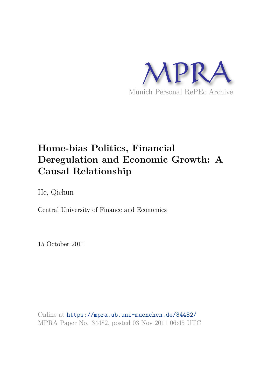

# **Home-bias Politics, Financial Deregulation and Economic Growth: A Causal Relationship**

He, Qichun

Central University of Finance and Economics

15 October 2011

Online at https://mpra.ub.uni-muenchen.de/34482/ MPRA Paper No. 34482, posted 03 Nov 2011 06:45 UTC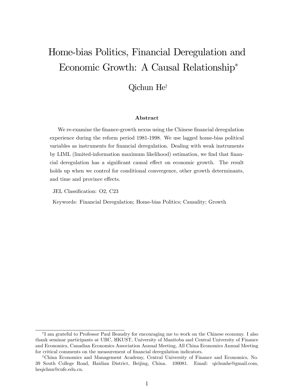# Home-bias Politics, Financial Deregulation and Economic Growth: A Causal Relationship\*

### Qichun He<sup>†</sup>

#### ${\bf Abstract}$

We re-examine the finance-growth nexus using the Chinese financial deregulation experience during the reform period 1981-1998. We use lagged home-bias political variables as instruments for financial deregulation. Dealing with weak instruments by LIML (limited-information maximum likelihood) estimation, we find that financial deregulation has a significant causal effect on economic growth. The result holds up when we control for conditional convergence, other growth determinants, and time and province effects.

JEL Classification: O2, C23

Keywords: Financial Deregulation; Home-bias Politics; Causality; Growth

<sup>\*</sup>I am grateful to Professor Paul Beaudry for encouraging me to work on the Chinese economy. I also thank seminar participants at UBC, HKUST, University of Manitoba and Central University of Finance and Economics, Canadian Economics Association Annual Meeting, All China Economics Annual Meeting for critical comments on the measurement of financial deregulation indicators.

<sup>&</sup>lt;sup>†</sup>China Economics and Management Academy, Central University of Finance and Economics, No. 39 South College Road, Haidian District, Beijing, China. 100081. Email: qichunhe@gmail.com, heqichun@cufe.edu.cn.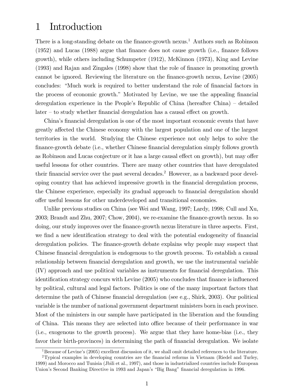### 1 Introduction

There is a long-standing debate on the finance-growth nexus.<sup>1</sup> Authors such as Robinson  $(1952)$  and Lucas  $(1988)$  argue that finance does not cause growth (i.e., finance follows growth), while others including Schumpeter (1912), McKinnon (1973), King and Levine (1993) and Rajan and Zingales (1998) show that the role of Önance in promoting growth cannot be ignored. Reviewing the literature on the Önance-growth nexus, Levine (2005) concludes: "Much work is required to better understand the role of financial factors in the process of economic growth." Motivated by Levine, we use the appealing financial deregulation experience in the People's Republic of China (hereafter China)  $-$  detailed  $\text{later} - \text{to study whether financial deregulation has a causal effect on growth.}$ 

China's financial deregulation is one of the most important economic events that have greatly affected the Chinese economy with the largest population and one of the largest territories in the world. Studying the Chinese experience not only helps to solve the finance-growth debate (i.e., whether Chinese financial deregulation simply follows growth as Robinson and Lucas conjecture or it has a large causal effect on growth), but may offer useful lessons for other countries. There are many other countries that have deregulated their financial service over the past several decades.<sup>2</sup> However, as a backward poor developing country that has achieved impressive growth in the Önancial deregulation process, the Chinese experience, especially its gradual approach to financial deregulation should offer useful lessons for other underdeveloped and transitional economies.

Unlike previous studies on China (see Wei and Wang, 1997; Lardy, 1998; Cull and Xu, 2003; Brandt and Zhu, 2007; Chow, 2004), we re-examine the Önance-growth nexus. In so doing, our study improves over the finance-growth nexus literature in three aspects. First, we find a new identification strategy to deal with the potential endogeneity of financial deregulation policies. The finance-growth debate explains why people may suspect that Chinese financial deregulation is endogenous to the growth process. To establish a causal relationship between financial deregulation and growth, we use the instrumental variable (IV) approach and use political variables as instruments for Önancial deregulation. This identification strategy concurs with Levine (2005) who concludes that finance is influenced by political, cultural and legal factors. Politics is one of the many important factors that determine the path of Chinese financial deregulation (see e.g., Shirk, 2003). Our political variable is the number of national government department ministers born in each province. Most of the ministers in our sample have participated in the liberation and the founding of China. This means they are selected into office because of their performance in war (i.e., exogenous to the growth process). We argue that they have home-bias (i.e., they favor their birth-provinces) in determining the path of financial deregulation. We isolate

 $\overline{^{1}$ Because of Levine's (2005) excellent discussion of it, we shall omit detailed references to the literature. <sup>2</sup>Typical examples in developing countries are the financial reforms in Vietnam (Riedel and Turley, 1999) and Morocco and Tunisia (Jbili et al., 1997), and those in industrialized countries include European Union's Second Banking Directive in 1993 and Japan's "Big Bang" financial deregulation in 1996.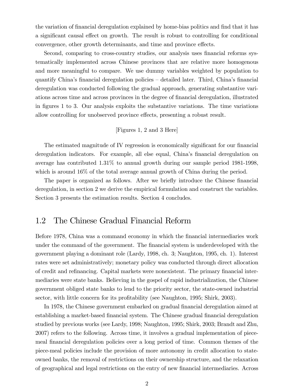the variation of financial deregulation explained by home-bias politics and find that it has a significant causal effect on growth. The result is robust to controlling for conditional convergence, other growth determinants, and time and province effects.

Second, comparing to cross-country studies, our analysis uses financial reforms systematically implemented across Chinese provinces that are relative more homogenous and more meaningful to compare. We use dummy variables weighted by population to quantify China's financial deregulation policies  $-\epsilon$  detailed later. Third, China's financial deregulation was conducted following the gradual approach, generating substantive variations across time and across provinces in the degree of Önancial deregulation, illustrated in Ögures 1 to 3. Our analysis exploits the substantive variations. The time variations allow controlling for unobserved province effects, presenting a robust result.

#### [Figures 1, 2 and 3 Here]

The estimated magnitude of IV regression is economically significant for our financial deregulation indicators. For example, all else equal, China's financial deregulation on average has contributed 1.31% to annual growth during our sample period 1981-1998, which is around  $16\%$  of the total average annual growth of China during the period.

The paper is organized as follows. After we briefly introduce the Chinese financial deregulation, in section 2 we derive the empirical formulation and construct the variables. Section 3 presents the estimation results. Section 4 concludes.

### 1.2 The Chinese Gradual Financial Reform

Before 1978, China was a command economy in which the financial intermediaries work under the command of the government. The financial system is underdeveloped with the government playing a dominant role (Lardy, 1998, ch. 3; Naughton, 1995, ch. 1). Interest rates were set administratively; monetary policy was conducted through direct allocation of credit and refinancing. Capital markets were nonexistent. The primary financial intermediaries were state banks. Believing in the gospel of rapid industrialization, the Chinese government obliged state banks to lend to the priority sector, the state-owned industrial sector, with little concern for its profitability (see Naughton, 1995; Shirk, 2003).

In 1978, the Chinese government embarked on gradual financial deregulation aimed at establishing a market-based Önancial system. The Chinese gradual Önancial deregulation studied by previous works (see Lardy, 1998; Naughton, 1995; Shirk, 2003; Brandt and Zhu, 2007) refers to the following. Across time, it involves a gradual implementation of piecemeal Önancial deregulation policies over a long period of time. Common themes of the piece-meal policies include the provision of more autonomy in credit allocation to stateowned banks, the removal of restrictions on their ownership structure, and the relaxation of geographical and legal restrictions on the entry of new Önancial intermediaries. Across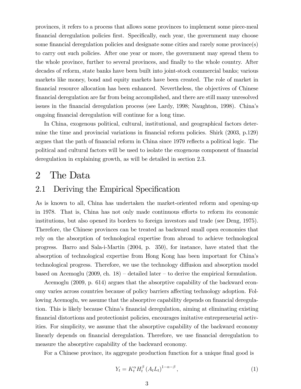provinces, it refers to a process that allows some provinces to implement some piece-meal Önancial deregulation policies Örst. SpeciÖcally, each year, the government may choose some financial deregulation policies and designate some cities and rarely some province(s) to carry out such policies. After one year or more, the government may spread them to the whole province, further to several provinces, and finally to the whole country. After decades of reform, state banks have been built into joint-stock commercial banks; various markets like money, bond and equity markets have been created. The role of market in Önancial resource allocation has been enhanced. Nevertheless, the objectives of Chinese Önancial deregulation are far from being accomplished, and there are still many unresolved issues in the financial deregulation process (see Lardy, 1998; Naughton, 1998). China's ongoing financial deregulation will continue for a long time.

In China, exogenous political, cultural, institutional, and geographical factors determine the time and provincial variations in financial reform policies. Shirk  $(2003, p.129)$ argues that the path of financial reform in China since 1979 reflects a political logic. The political and cultural factors will be used to isolate the exogenous component of Önancial deregulation in explaining growth, as will be detailed in section 2.3.

### 2 The Data

### 2.1 Deriving the Empirical Specification

As is known to all, China has undertaken the market-oriented reform and opening-up in 1978. That is, China has not only made continuous efforts to reform its economic institutions, but also opened its borders to foreign investors and trade (see Deng, 1975). Therefore, the Chinese provinces can be treated as backward small open economies that rely on the absorption of technological expertise from abroad to achieve technological progress. Barro and Sala-i-Martin (2004, p. 350), for instance, have stated that the absorption of technological expertise from Hong Kong has been important for Chinaís technological progress. Therefore, we use the technology diffusion and absorption model based on Acemoglu (2009, ch. 18)  $-$  detailed later  $-$  to derive the empirical formulation.

Acemoglu (2009, p. 614) argues that the absorptive capability of the backward economy varies across countries because of policy barriers affecting technology adoption. Following Acemoglu, we assume that the absorptive capability depends on financial deregulation. This is likely because China's financial deregulation, aiming at eliminating existing Önancial distortions and protectionist policies, encourages imitative entrepreneurial activities. For simplicity, we assume that the absorptive capability of the backward economy linearly depends on financial deregulation. Therefore, we use financial deregulation to measure the absorptive capability of the backward economy.

For a Chinese province, its aggregate production function for a unique final good is

$$
Y_t = K_t^{\alpha} H_t^{\beta} \left( A_t L_t \right)^{1 - \alpha - \beta}, \tag{1}
$$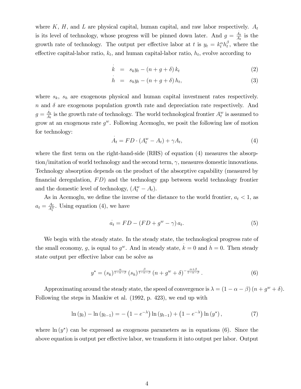where K, H, and L are physical capital, human capital, and raw labor respectively.  $A_t$ is its level of technology, whose progress will be pinned down later. And  $g = \frac{A_t}{A_t}$  $\frac{A_t}{A_t}$  is the growth rate of technology. The output per effective labor at t is  $y_t = k_t^{\alpha} h_t^{\beta}$  $t<sub>t</sub><sup>\rho</sup>$ , where the effective capital-labor ratio,  $k_t$ , and human capital-labor ratio,  $h_t$ , evolve according to

$$
\dot{k} = s_k y_t - (n + g + \delta) k_t \tag{2}
$$

$$
\dot{h} = s_h y_t - (n + g + \delta) h_t, \tag{3}
$$

where  $s_k$ ,  $s_h$  are exogenous physical and human capital investment rates respectively.  $n$  and  $\delta$  are exogenous population growth rate and depreciation rate respectively. And  $g=\frac{A_t}{A_t}$  $\frac{A_t}{A_t}$  is the growth rate of technology. The world technological frontier  $A_t^w$  is assumed to grow at an exogenous rate  $g^w$ . Following Acemoglu, we posit the following law of motion for technology: .

$$
A_t = FD \cdot (A_t^w - A_t) + \gamma A_t,\tag{4}
$$

where the first term on the right-hand-side  $(RHS)$  of equation  $(4)$  measures the absorption/imitation of world technology and the second term,  $\gamma$ , measures domestic innovations. Technology absorption depends on the product of the absorptive capability (measured by financial deregulation,  $FD$  and the technology gap between world technology frontier and the domestic level of technology,  $(A_t^w - A_t)$ .

As in Acemoglu, we define the inverse of the distance to the world frontier,  $a_t < 1$ , as  $a_t = \frac{A_t}{A_t^w}$ . Using equation (4), we have

$$
\dot{a}_t = FD - (FD + g^w - \gamma) a_t. \tag{5}
$$

We begin with the steady state. In the steady state, the technological progress rate of the small economy, g, is equal to  $g^w$ . And in steady state,  $k = 0$  and  $h = 0$ . Then steady state output per effective labor can be solve as

$$
y^* = (s_k)^{\frac{\alpha}{1-\alpha-\beta}} (s_h)^{\frac{\beta}{1-\alpha-\beta}} (n+g^w+\delta)^{-\frac{\alpha+\beta}{1-\alpha-\beta}}.
$$
 (6)

Approximating around the steady state, the speed of convergence is  $\lambda = (1 - \alpha - \beta)(n + g^w + \delta)$ . Following the steps in Mankiw et al. (1992, p. 423), we end up with

$$
\ln(y_t) - \ln(y_{t-1}) = - (1 - e^{-\lambda}) \ln(y_{t-1}) + (1 - e^{-\lambda}) \ln(y^*), \tag{7}
$$

where  $\ln(y^*)$  can be expressed as exogenous parameters as in equations (6). Since the above equation is output per effective labor, we transform it into output per labor. Output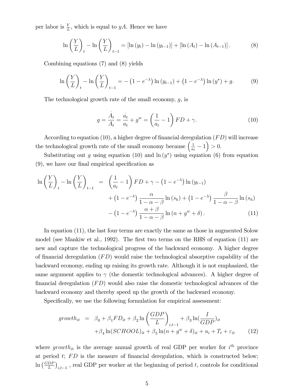per labor is  $\frac{Y}{L}$ , which is equal to yA. Hence we have

$$
\ln\left(\frac{Y}{L}\right)_t - \ln\left(\frac{Y}{L}\right)_{t-1} = \left[\ln\left(y_t\right) - \ln\left(y_{t-1}\right)\right] + \left[\ln\left(A_t\right) - \ln\left(A_{t-1}\right)\right].\tag{8}
$$

Combining equations (7) and (8) yields

$$
\ln\left(\frac{Y}{L}\right)_t - \ln\left(\frac{Y}{L}\right)_{t-1} = -\left(1 - e^{-\lambda}\right)\ln\left(y_{t-1}\right) + \left(1 - e^{-\lambda}\right)\ln\left(y^*\right) + g. \tag{9}
$$

The technological growth rate of the small economy,  $g$ , is

$$
g = \frac{\dot{A}_t}{A_t} = \frac{\dot{a}_t}{a_t} + g^w = \left(\frac{1}{a_t} - 1\right) FD + \gamma.
$$
 (10)

According to equation (10), a higher degree of financial deregulation  $(FD)$  will increase the technological growth rate of the small economy because  $\left(\frac{1}{a}\right)$  $\left(\frac{1}{a_t} - 1\right) > 0.$ 

Substituting out g using equation (10) and  $\ln(y^*)$  using equation (6) from equation  $(9)$ , we have our final empirical specification as

$$
\ln\left(\frac{Y}{L}\right)_t - \ln\left(\frac{Y}{L}\right)_{t-1} = \left(\frac{1}{a_t} - 1\right) F D + \gamma - \left(1 - e^{-\lambda}\right) \ln\left(y_{t-1}\right) + \left(1 - e^{-\lambda}\right) \frac{\alpha}{1 - \alpha - \beta} \ln\left(s_k\right) + \left(1 - e^{-\lambda}\right) \frac{\beta}{1 - \alpha - \beta} \ln\left(s_k\right) - \left(1 - e^{-\lambda}\right) \frac{\alpha + \beta}{1 - \alpha - \beta} \ln\left(n + g^w + \delta\right).
$$
 (11)

In equation (11), the last four terms are exactly the same as those in augmented Solow model (see Mankiw et al., 1992). The first two terms on the RHS of equation  $(11)$  are new and capture the technological progress of the backward economy. A higher degree of financial deregulation  $(FD)$  would raise the technological absorptive capability of the backward economy, ending up raising its growth rate. Although it is not emphasized, the same argument applies to  $\gamma$  (the domestic technological advances). A higher degree of financial deregulation  $(FD)$  would also raise the domestic technological advances of the backward economy and thereby speed up the growth of the backward economy.

Specifically, we use the following formulation for empirical assessment:

$$
growth_{it} = \beta_0 + \beta_1 FD_{it} + \beta_2 \ln \left( \frac{GDP}{L} \right)_{i,t-1} + \beta_3 \ln \left( \frac{I}{GDP} \right)_{it}
$$

$$
+ \beta_4 \ln (SCHOOL)_{it} + \beta_5 \ln(n + g^w + \delta)_{it} + u_i + T_t + \varepsilon_{it} \tag{12}
$$

where growth<sub>it</sub> is the average annual growth of real GDP per worker for  $i^{th}$  province at period  $t$ ;  $FD$  is the measure of financial deregulation, which is constructed below;  $\ln\left(\frac{GDF}{L}\right)$  $\left(\frac{DP}{L}\right)_{i,t-1}$ , real GDP per worker at the beginning of period t, controls for conditional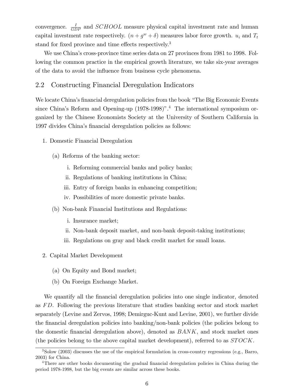convergence.  $\frac{I}{GDP}$  and *SCHOOL* measure physical capital investment rate and human capital investment rate respectively.  $(n + g^w + \delta)$  measures labor force growth.  $u_i$  and  $T_t$ stand for fixed province and time effects respectively.<sup>3</sup>

We use China's cross-province time series data on 27 provinces from 1981 to 1998. Following the common practice in the empirical growth literature, we take six-year averages of the data to avoid the influence from business cycle phenomena.

#### 2.2 Constructing Financial Deregulation Indicators

We locate China's financial deregulation policies from the book "The Big Economic Events" since China's Reform and Opening-up (1978-1998)".<sup>4</sup> The international symposium organized by the Chinese Economists Society at the University of Southern California in 1997 divides China's financial deregulation policies as follows:

- 1. Domestic Financial Deregulation
	- (a) Reforms of the banking sector:
		- i. Reforming commercial banks and policy banks;
		- ii. Regulations of banking institutions in China;
		- iii. Entry of foreign banks in enhancing competition;
		- iv. Possibilities of more domestic private banks.
	- (b) Non-bank Financial Institutions and Regulations:
		- i. Insurance market;
		- ii. Non-bank deposit market, and non-bank deposit-taking institutions;
		- iii. Regulations on gray and black credit market for small loans.
- 2. Capital Market Development
	- (a) On Equity and Bond market;
	- (b) On Foreign Exchange Market.

We quantify all the financial deregulation policies into one single indicator, denoted as FD. Following the previous literature that studies banking sector and stock market separately (Levine and Zervos, 1998; Demirguc-Kunt and Levine, 2001), we further divide the financial deregulation policies into banking/non-bank policies (the policies belong to the domestic financial deregulation above), denoted as  $BANK$ , and stock market ones (the policies belong to the above capital market development), referred to as  $STOCK$ .

 $3$ Solow (2003) discusses the use of the empirical formulation in cross-country regressions (e.g., Barro,  $2003$  for China.

<sup>&</sup>lt;sup>4</sup>There are other books documenting the gradual financial deregulation policies in China during the period 1978-1998, but the big events are similar across these books.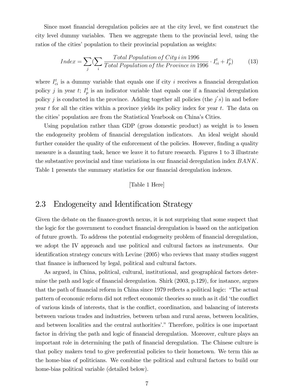Since most financial deregulation policies are at the city level, we first construct the city level dummy variables. Then we aggregate them to the provincial level, using the ratios of the cities' population to their provincial population as weights:

$$
Index = \sum_{j} (\sum_{i} \frac{Total Population of City i in 1996}{Total Population of the Province in 1996} \cdot I_{ci}^{t} + I_{p}^{t})
$$
(13)

where  $I_{ci}^{t}$  is a dummy variable that equals one if city *i* receives a financial deregulation policy *j* in year *t*;  $I_p^t$  is an indicator variable that equals one if a financial deregulation policy j is conducted in the province. Adding together all policies (the  $j's$ ) in and before year  $t$  for all the cities within a province yields its policy index for year  $t$ . The data on the citiesí population are from the Statistical Yearbook on Chinaís Cities.

Using population rather than GDP (gross domestic product) as weight is to lessen the endogeneity problem of financial deregulation indicators. An ideal weight should further consider the quality of the enforcement of the policies. However, finding a quality measure is a daunting task, hence we leave it to future research. Figures 1 to 3 illustrate the substantive provincial and time variations in our financial deregulation index  $BANK$ . Table 1 presents the summary statistics for our financial deregulation indexes.

#### [Table 1 Here]

#### 2.3 Endogeneity and Identification Strategy

Given the debate on the finance-growth nexus, it is not surprising that some suspect that the logic for the government to conduct Önancial deregulation is based on the anticipation of future growth. To address the potential endogeneity problem of Önancial deregulation, we adopt the IV approach and use political and cultural factors as instruments. Our identification strategy concurs with Levine (2005) who reviews that many studies suggest that finance is influenced by legal, political and cultural factors.

As argued, in China, political, cultural, institutional, and geographical factors determine the path and logic of financial deregulation. Shirk (2003, p.129), for instance, argues that the path of financial reform in China since 1979 reflects a political logic: "The actual pattern of economic reform did not reflect economic theories so much as it did 'the conflict of various kinds of interests, that is the conflict, coordination, and balancing of interests between various trades and industries, between urban and rural areas, between localities, and between localities and the central authorities'." Therefore, politics is one important factor in driving the path and logic of financial deregulation. Moreover, culture plays an important role in determining the path of Önancial deregulation. The Chinese culture is that policy makers tend to give preferential policies to their hometown. We term this as the home-bias of politicians. We combine the political and cultural factors to build our home-bias political variable (detailed below).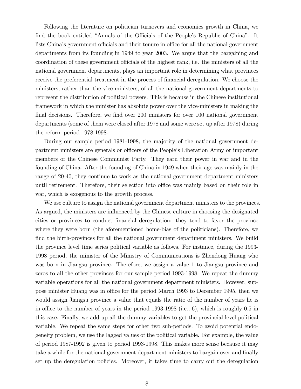Following the literature on politician turnovers and economics growth in China, we find the book entitled "Annals of the Officials of the People's Republic of China". It lists China's government officials and their tenure in office for all the national government departments from its founding in 1949 to year 2003. We argue that the bargaining and coordination of these government officials of the highest rank, i.e. the ministers of all the national government departments, plays an important role in determining what provinces receive the preferential treatment in the process of financial deregulation. We choose the ministers, rather than the vice-ministers, of all the national government departments to represent the distribution of political powers. This is because in the Chinese institutional framework in which the minister has absolute power over the vice-ministers in making the final decisions. Therefore, we find over 200 ministers for over 100 national government departments (some of them were closed after 1978 and some were set up after 1978) during the reform period 1978-1998.

During our sample period 1981-1998, the majority of the national government department ministers are generals or officers of the People's Liberation Army or important members of the Chinese Communist Party. They earn their power in war and in the founding of China. After the founding of China in 1949 when their age was mainly in the range of 20-40, they continue to work as the national government department ministers until retirement. Therefore, their selection into office was mainly based on their role in war, which is exogenous to the growth process.

We use culture to assign the national government department ministers to the provinces. As argued, the ministers are influenced by the Chinese culture in choosing the designated cities or provinces to conduct Önancial deregulation: they tend to favor the province where they were born (the aforementioned home-bias of the politicians). Therefore, we find the birth-provinces for all the national government department ministers. We build the province level time series political variable as follows. For instance, during the 1993- 1998 period, the minister of the Ministry of Communications is Zhendong Huang who was born in Jiangsu province. Therefore, we assign a value 1 to Jiangsu province and zeros to all the other provinces for our sample period 1993-1998. We repeat the dummy variable operations for all the national government department ministers. However, suppose minister Huang was in office for the period March 1993 to December 1995, then we would assign Jiangsu province a value that equals the ratio of the number of years he is in office to the number of years in the period  $1993-1998$  (i.e., 6), which is roughly 0.5 in this case. Finally, we add up all the dummy variables to get the provincial level political variable. We repeat the same steps for other two sub-periods. To avoid potential endogeneity problem, we use the lagged values of the political variable. For example, the value of period 1987-1992 is given to period 1993-1998. This makes more sense because it may take a while for the national government department ministers to bargain over and finally set up the deregulation policies. Moreover, it takes time to carry out the deregulation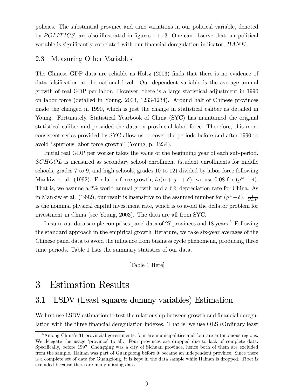policies. The substantial province and time variations in our political variable, denoted by  $POLITICS$ , are also illustrated in figures 1 to 3. One can observe that our political variable is significantly correlated with our financial deregulation indicator,  $BANK$ .

#### 2.3 Measuring Other Variables

The Chinese GDP data are reliable as Holtz (2003) finds that there is no evidence of data falsification at the national level. Our dependent variable is the average annual growth of real GDP per labor. However, there is a large statistical adjustment in 1990 on labor force (detailed in Young, 2003, 1233-1234). Around half of Chinese provinces made the changed in 1990, which is just the change in statistical caliber as detailed in Young. Fortunately, Statistical Yearbook of China (SYC) has maintained the original statistical caliber and provided the data on provincial labor force. Therefore, this more consistent series provided by SYC allow us to cover the periods before and after 1990 to avoid "spurious labor force growth" (Young, p. 1234).

Initial real GDP per worker takes the value of the beginning year of each sub-period. SCHOOL is measured as secondary school enrollment (student enrollments for middle schools, grades 7 to 9, and high schools, grades 10 to 12) divided by labor force following Mankiw et al. (1992). For labor force growth,  $ln(n + g^w + \delta)$ , we use 0.08 for  $(g^w + \delta)$ . That is, we assume a 2% world annual growth and a 6% depreciation rate for China. As in Mankiw et al. (1992), our result is insensitive to the assumed number for  $(g^w + \delta)$ .  $\frac{1}{GT}$ GDP is the nominal physical capital investment rate, which is to avoid the deflator problem for investment in China (see Young, 2003). The data are all from SYC.

In sum, our data sample comprises panel data of 27 provinces and 18 years.<sup>5</sup> Following the standard approach in the empirical growth literature, we take six-year averages of the Chinese panel data to avoid the influence from business cycle phenomena, producing three time periods. Table 1 lists the summary statistics of our data.

[Table 1 Here]

### 3 Estimation Results

### 3.1 LSDV (Least squares dummy variables) Estimation

We first use LSDV estimation to test the relationship between growth and financial deregulation with the three financial deregulation indexes. That is, we use OLS (Ordinary least

<sup>&</sup>lt;sup>5</sup>Among China's 31 provincial governments, four are municipalities and four are autonomous regions. We delegate the usage 'province' to all. Four provinces are dropped due to lack of complete data. Specifically, before 1997, Chongqing was a city of Sichuan province, hence both of them are excluded from the sample. Hainan was part of Guangdong before it became an independent province. Since there is a complete set of data for Guangdong, it is kept in the data sample while Hainan is dropped. Tibet is excluded because there are many missing data.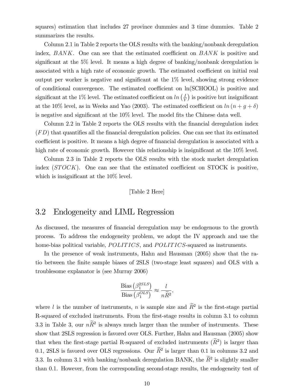squares) estimation that includes 27 province dummies and 3 time dummies. Table 2 summarizes the results.

Column 2.1 in Table 2 reports the OLS results with the banking/nonbank deregulation index,  $BANK$ . One can see that the estimated coefficient on  $BANK$  is positive and significant at the  $5\%$  level. It means a high degree of banking/nonbank deregulation is associated with a high rate of economic growth. The estimated coefficient on initial real output per worker is negative and significant at the  $1\%$  level, showing strong evidence of conditional convergence. The estimated coefficient on  $ln(SCHOOL)$  is positive and significant at the 1% level. The estimated coefficient on ln  $\left(\frac{I}{Y}\right)$  $\left(\frac{I}{Y}\right)$  is positive but insignificant at the 10% level, as in Weeks and Yao (2003). The estimated coefficient on  $\ln (n + g + \delta)$ is negative and significant at the  $10\%$  level. The model fits the Chinese data well.

Column 2.2 in Table 2 reports the OLS results with the financial deregulation index  $(FD)$  that quantifies all the financial deregulation policies. One can see that its estimated coefficient is positive. It means a high degree of financial deregulation is associated with a high rate of economic growth. However this relationship is insignificant at the  $10\%$  level.

Column 2.3 in Table 2 reports the OLS results with the stock market deregulation index  $(STOCK)$ . One can see that the estimated coefficient on STOCK is positive, which is insignificant at the  $10\%$  level.

#### [Table 2 Here]

#### 3.2 Endogeneity and LIML Regression

As discussed, the measures of financial deregulation may be endogenous to the growth process. To address the endogeneity problem, we adopt the IV approach and use the home-bias political variable, POLITICS, and POLITICS-squared as instruments.

In the presence of weak instruments, Hahn and Hausman (2005) show that the ratio between the Önite sample biases of 2SLS (two-stage least squares) and OLS with a troublesome explanator is (see Murray 2006)

$$
\frac{\text{Bias}(\beta_1^{2SLS})}{\text{Bias}(\beta_1^{OLS})} \approx \frac{l}{n\widetilde{R}^2},
$$

where l is the number of instruments, n is sample size and  $\tilde{R}^2$  is the first-stage partial R-squared of excluded instruments. From the first-stage results in column 3.1 to column 3.3 in Table 3, our  $n\tilde{R}^2$  is always much larger than the number of instruments. These show that 2SLS regression is favored over OLS. Further, Hahn and Hausman (2005) show that when the first-stage partial R-squared of excluded instruments  $(\widetilde{R}^2)$  is larger than 0.1, 2SLS is favored over OLS regressions. Our  $\widetilde{R}^2$  is larger than 0.1 in columns 3.2 and 3.3. In column 3.1 with banking/nonbank deregulation BANK, the  $\widetilde{R}^2$  is slightly smaller than 0.1. However, from the corresponding second-stage results, the endogeneity test of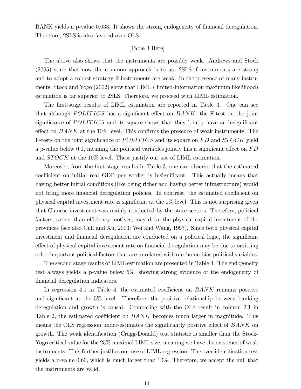BANK yields a p-value 0.033. It shows the strong endogeneity of financial deregulation. Therefore, 2SLS is also favored over OLS.

#### [Table 3 Here]

The above also shows that the instruments are possibly weak. Andrews and Stock (2005) state that now the common approach is to use 2SLS if instruments are strong and to adopt a robust strategy if instruments are weak. In the presence of many instruments, Stock and Yogo (2002) show that LIML (limited-information maximum likelihood) estimation is far superior to 2SLS. Therefore, we proceed with LIML estimation.

The first-stage results of LIML estimation are reported in Table 3. One can see that although POLITICS has a significant effect on  $BANK$ , the F-test on the joint significance of  $POLITICS$  and its square shows that they jointly have an insignificant effect on  $BANK$  at the 10% level. This confirms the presence of weak instruments. The F-tests on the joint significance of POLITICS and its square on FD and STOCK yield a p-value below 0.1, meaning the political variables jointly has a significant effect on  $FD$ and *STOCK* at the 10% level. These justify our use of LIML estimation.

Moreover, from the first-stage results in Table 3, one can observe that the estimated coefficient on initial real GDP per worker is insignificant. This actually means that having better initial conditions (like being richer and having better infrastructure) would not bring more financial deregulation policies. In contrast, the estimated coefficient on physical capital investment rate is significant at the  $1\%$  level. This is not surprising given that Chinese investment was mainly conducted by the state sectors. Therefore, political factors, rather than efficiency motives, may drive the physical capital investment of the provinces (see also Cull and Xu, 2003; Wei and Wang, 1997). Since both physical capital investment and financial deregulation are conducted on a political logic, the significant effect of physical capital investment rate on financial deregulation may be due to omitting other important political factors that are unrelated with our home-bias political variables.

The second stage results of LIML estimation are presented in Table 4. The endogeneity test always yields a p-value below 5%, showing strong evidence of the endogeneity of financial deregulation indicators.

In regression 4.1 in Table 4, the estimated coefficient on  $BANK$  remains positive and significant at the  $5\%$  level. Therefore, the positive relationship between banking deregulation and growth is causal. Comparing with the OLS result in column 2.1 in Table 2, the estimated coefficient on  $BANK$  becomes much larger in magnitude. This means the OLS regression under-estimates the significantly positive effect of  $BANK$  on growth. The weak identification (Cragg-Donald) test statistic is smaller than the Stock-Yogo critical value for the  $25\%$  maximal LIML size, meaning we have the existence of weak instruments. This further justifies our use of LIML regression. The over-identification test yields a p-value 0.60, which is much larger than 10%. Therefore, we accept the null that the instruments are valid.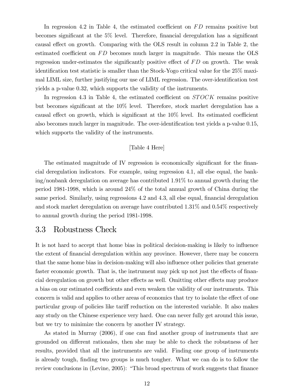In regression 4.2 in Table 4, the estimated coefficient on  $FD$  remains positive but becomes significant at the  $5\%$  level. Therefore, financial deregulation has a significant causal effect on growth. Comparing with the OLS result in column 2.2 in Table 2, the estimated coefficient on  $FD$  becomes much larger in magnitude. This means the OLS regression under-estimates the significantly positive effect of  $FD$  on growth. The weak identification test statistic is smaller than the Stock-Yogo critical value for the 25% maximal LIML size, further justifying our use of LIML regression. The over-identification test yields a p-value 0.32, which supports the validity of the instruments.

In regression 4.3 in Table 4, the estimated coefficient on  $STOCK$  remains positive but becomes significant at the  $10\%$  level. Therefore, stock market deregulation has a causal effect on growth, which is significant at the  $10\%$  level. Its estimated coefficient also becomes much larger in magnitude. The over-identification test yields a p-value 0.15, which supports the validity of the instruments.

#### [Table 4 Here]

The estimated magnitude of IV regression is economically significant for the financial deregulation indicators. For example, using regression 4.1, all else equal, the banking/nonbank deregulation on average has contributed 1.91% to annual growth during the period 1981-1998, which is around 24% of the total annual growth of China during the same period. Similarly, using regressions 4.2 and 4.3, all else equal, financial deregulation and stock market deregulation on average have contributed 1.31% and 0.54% respectively to annual growth during the period 1981-1998.

#### 3.3 Robustness Check

It is not hard to accept that home bias in political decision-making is likely to influence the extent of financial deregulation within any province. However, there may be concern that the same home bias in decision-making will also influence other policies that generate faster economic growth. That is, the instrument may pick up not just the effects of financial deregulation on growth but other effects as well. Omitting other effects may produce a bias on our estimated coefficients and even weaken the validity of our instruments. This concern is valid and applies to other areas of economics that try to isolate the effect of one particular group of policies like tariff reduction on the interested variable. It also makes any study on the Chinese experience very hard. One can never fully get around this issue, but we try to minimize the concern by another IV strategy.

As stated in Murray  $(2006)$ , if one can find another group of instruments that are grounded on different rationales, then she may be able to check the robustness of her results, provided that all the instruments are valid. Finding one group of instruments is already tough, finding two groups is much tougher. What we can do is to follow the review conclusions in (Levine, 2005): "This broad spectrum of work suggests that finance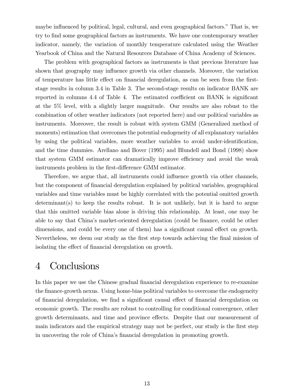maybe influenced by political, legal, cultural, and even geographical factors." That is, we try to Önd some geographical factors as instruments. We have one contemporary weather indicator, namely, the variation of monthly temperature calculated using the Weather Yearbook of China and the Natural Resources Database of China Academy of Sciences.

The problem with geographical factors as instruments is that previous literature has shown that geography may influence growth via other channels. Moreover, the variation of temperature has little effect on financial deregulation, as can be seen from the firststage results in column 3.4 in Table 3. The second-stage results on indicator BANK are reported in columns 4.4 of Table 4. The estimated coefficient on BANK is significant at the 5% level, with a slightly larger magnitude. Our results are also robust to the combination of other weather indicators (not reported here) and our political variables as instruments. Moreover, the result is robust with system GMM (Generalized method of moments) estimation that overcomes the potential endogeneity of all explanatory variables by using the political variables, more weather variables to avoid under-identification, and the time dummies. Arellano and Bover (1995) and Blundell and Bond (1998) show that system GMM estimator can dramatically improve efficiency and avoid the weak instruments problem in the first-difference GMM estimator.

Therefore, we argue that, all instruments could influence growth via other channels, but the component of Önancial deregulation explained by political variables, geographical variables and time variables must be highly correlated with the potential omitted growth  $determinant(s)$  to keep the results robust. It is not unlikely, but it is hard to argue that this omitted variable bias alone is driving this relationship. At least, one may be able to say that China's market-oriented deregulation (could be finance, could be other dimensions, and could be every one of them) has a significant causal effect on growth. Nevertheless, we deem our study as the first step towards achieving the final mission of isolating the effect of financial deregulation on growth.

## 4 Conclusions

In this paper we use the Chinese gradual financial deregulation experience to re-examine the finance-growth nexus. Using home-bias political variables to overcome the endogeneity of financial deregulation, we find a significant causal effect of financial deregulation on economic growth. The results are robust to controlling for conditional convergence, other growth determinants, and time and province effects. Despite that our measurement of main indicators and the empirical strategy may not be perfect, our study is the Örst step in uncovering the role of China's financial deregulation in promoting growth.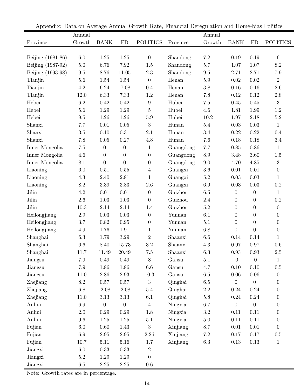| $\mathbf{r}$      |                 |             |                  |                  |           |                 |                  |                  |                  |
|-------------------|-----------------|-------------|------------------|------------------|-----------|-----------------|------------------|------------------|------------------|
|                   | Annual          |             |                  |                  |           | Annual          |                  |                  |                  |
| Province          | Growth          | <b>BANK</b> | FD               | <b>POLITICS</b>  | Province  | Growth          | <b>BANK</b>      | FD               | <b>POLITICS</b>  |
|                   |                 |             |                  | $\boldsymbol{0}$ |           | $7.2\,$         |                  |                  | $\,6\,$          |
| Beijing (1981-86) | $6.0\,$         | $1.25\,$    | $1.25\,$<br>7.92 |                  | Shandong  |                 | 0.19             | 0.19<br>1.07     | $8.2\,$          |
| Beijing (1987-92) | $5.0\,$         | 6.76        |                  | $1.5\,$          | Shandong  | $5.7\,$         | 1.07             |                  |                  |
| Beijing (1993-98) | $\ \, 9.5$      | 8.76        | 11.05            | $2.3\,$          | Shandong  | $\,9.5$         | 2.71             | 2.71             | $7.9\,$          |
| Tianjin           | $5.6\,$         | 1.54        | $1.54\,$         | $\overline{0}$   | Henan     | $5.9\,$         | $0.02\,$         | 0.02             | $\overline{2}$   |
| Tianjin           | $4.2\,$         | $6.24\,$    | 7.08             | 0.4              | Henan     | $3.8\,$         | 0.16             | 0.16             | $2.6\,$          |
| Tianjin           | 12.0            | 6.33        | 7.33             | $1.2\,$          | Henan     | 7.8             | $0.12\,$         | 0.12             | $2.8\,$          |
| Hebei             | 6.2             | 0.42        | 0.42             | $\boldsymbol{9}$ | Hubei     | $7.5\,$         | 0.45             | 0.45             | $\sqrt{3}$       |
| Hebei             | $5.6$           | 1.29        | $1.29\,$         | $\bf 5$          | Hubei     | $4.6\,$         | 1.81             | 1.99             | $1.2\,$          |
| Hebei             | 9.5             | 1.26        | $1.26\,$         | $5.9\,$          | Hubei     | $10.2\,$        | 1.97             | 2.18             | $5.2\,$          |
| Shanxi            | $7.7\,$         | $0.01\,$    | $0.05\,$         | $\sqrt{3}$       | Hunan     | $5.4\,$         | $0.03\,$         | 0.03             | $1\,$            |
| Shanxi            | $3.5\,$         | 0.10        | $0.31\,$         | 2.1              | Hunan     | $3.4\,$         | $0.22\,$         | 0.22             | $0.4\,$          |
| Shanxi            | $7.8\,$         | 0.05        | $0.27\,$         | $4.8\,$          | Hunan     | $7.6\,$         | $0.18\,$         | 0.18             | $3.4\,$          |
| Inner Mongolia    | $7.5\,$         | $\theta$    | $\boldsymbol{0}$ | $\mathbf{1}$     | Guangdong | 7.7             | $0.85\,$         | 0.86             | $\mathbf{1}$     |
| Inner Mongolia    | 4.6             | $\theta$    | $\theta$         | $\boldsymbol{0}$ | Guangdong | $\!\!\!\!\!8.9$ | $3.48\,$         | 3.60             | $1.5\,$          |
| Inner Mongolia    | 8.1             | $\theta$    | $\overline{0}$   | $\theta$         | Guangdong | $9.0\,$         | 4.70             | 4.85             | $\sqrt{3}$       |
| Liaoning          | $6.0\,$         | 0.51        | 0.55             | $\overline{4}$   | Guangxi   | $3.6\,$         | 0.01             | 0.01             | $\boldsymbol{0}$ |
| Liaoning          | 4.3             | 2.40        | 2.81             | $\mathbf{1}$     | Guangxi   | $5.2\,$         | 0.03             | 0.03             | $\mathbf{1}$     |
| Liaoning          | $\!\!\!\!\!8.2$ | $3.39\,$    | 3.83             | $2.6\,$          | Guangxi   | 6.9             | $0.03\,$         | 0.03             | $\rm 0.2$        |
| Jilin             | $4.2\,$         | $0.01\,$    | $0.01\,$         | $\boldsymbol{0}$ | Guizhou   | $6.5\,$         | $\boldsymbol{0}$ | $\boldsymbol{0}$ | $\,1\,$          |
| Jilin             | $2.6\,$         | $1.03\,$    | $1.03\,$         | $\boldsymbol{0}$ | Guizhou   | $2.4\,$         | $\boldsymbol{0}$ | $\boldsymbol{0}$ | $\rm 0.2$        |
| Jilin             | $10.3\,$        | $2.14\,$    | 2.14             | 1.4              | Guizhou   | $5.2\,$         | $\boldsymbol{0}$ | $\boldsymbol{0}$ | $\boldsymbol{0}$ |
| Heilongjiang      | $2.9\,$         | 0.03        | $0.03\,$         | $\theta$         | Yunnan    | 6.1             | $\boldsymbol{0}$ | $\theta$         | $\boldsymbol{0}$ |
| Heilongjiang      | $3.7\,$         | 0.82        | $0.95\,$         | $\boldsymbol{0}$ | Yunnan    | 5.1             | $\boldsymbol{0}$ | $\boldsymbol{0}$ | $\boldsymbol{0}$ |
| Heilongjiang      | $4.9\,$         | 1.76        | 1.91             | $\mathbf{1}$     | Yunnan    | $6.8\,$         | $\overline{0}$   | $\overline{0}$   | $\boldsymbol{0}$ |
| Shanghai          | $6.3\,$         | 1.79        | $3.29\,$         | $\sqrt{2}$       | Shaanxi   | $6.6\,$         | 0.14             | 0.14             | $\mathbf 1$      |
| Shanghai          | $6.6\,$         | 8.40        | 15.73            | $\!3.2\!$        | Shaanxi   | $4.3\,$         | 0.97             | 0.97             | $0.6\,$          |
| Shanghai          | 11.7            | 11.49       | 20.49            | $7.5\,$          | Shaanxi   | $6.3\,$         | $0.93\,$         | 0.93             | $2.5\,$          |
| Jiangsu           | $7.9\,$         | 0.49        | $0.49\,$         | 8                | Gansu     | 5.1             | $\theta$         | $\overline{0}$   | $\mathbf{1}$     |
| Jiangsu           | $7.9\,$         | 1.86        | 1.86             | $6.6\,$          | Gansu     | 4.7             | 0.10             | 0.10             | $0.5\,$          |
| Jiangsu           | 11.0            | 2.86        | $2.93\,$         | $10.3\,$         | Gansu     | $6.5\,$         | 0.06             | 0.06             | $\boldsymbol{0}$ |
| Zhejiang          | $\!\!\!\!\!8.2$ | $0.57\,$    | $0.57\,$         | $\overline{3}$   | Qinghai   | $6.5\,$         | $\boldsymbol{0}$ | 0                | $\boldsymbol{0}$ |
| Zhejiang          | $6.8\,$         | 2.08        | $2.08\,$         | $5.4\,$          | Qinghai   | $2.2\,$         | 0.24             | $0.24\,$         | $\boldsymbol{0}$ |
| Zhejiang          | 11.0            | 3.13        | $3.13\,$         | $6.1\,$          | Qinghai   | $5.8\,$         | $0.24\,$         | $0.24\,$         | $\boldsymbol{0}$ |
| Anhui             | $6.9\,$         | $\theta$    | $\theta$         | $\overline{4}$   | Ningxia   | 6.7             | $\boldsymbol{0}$ | $\boldsymbol{0}$ | $\boldsymbol{0}$ |
| Anhui             | $2.0\,$         | 0.29        | $0.29\,$         | 1.8              | Ningxia   | $\!3.2\!$       | 0.11             | $0.11\,$         | $\boldsymbol{0}$ |
| Anhui             | $\,9.6$         | $1.25\,$    | $1.25\,$         | 5.1              | Ningxia   | $5.0\,$         | 0.11             | 0.11             | $\boldsymbol{0}$ |
| Fujian            | $6.0\,$         | 0.60        | 1.43             | $\overline{3}$   | Xinjiang  | 8.7             | 0.01             | $0.01\,$         | $\boldsymbol{0}$ |
| Fujian            | $6.9\,$         | $2.95\,$    | $2.95\,$         | $2.26\,$         | Xinjiang  | $7.2\,$         | 0.17             | 0.17             | $0.5\,$          |
| Fujian            | 10.7            | 5.11        | $5.16\,$         | 1.7              | Xinjiang  | $6.3\,$         | $0.13\,$         | 0.13             | $\mathbf{1}$     |
| Jiangxi           | $6.0\,$         | 0.33        | 0.33             | $\overline{2}$   |           |                 |                  |                  |                  |
| Jiangxi           | $5.2\,$         | 1.29        | $1.29\,$         | $\overline{0}$   |           |                 |                  |                  |                  |
| Jiangxi           | $6.5\,$         | $2.25\,$    | $2.25\,$         | $0.6\,$          |           |                 |                  |                  |                  |

Appendix: Data on Average Annual Growth Rate, Financial Deregulation and Home-bias Politics

Note: Growth rates are in percentage.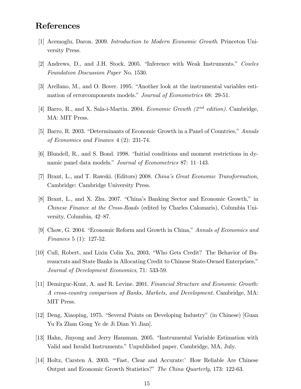### References

- [1] Acemoglu, Daron. 2009. Introduction to Modern Economic Growth. Princeton University Press.
- [2] Andrews, D., and J.H. Stock. 2005. "Inference with Weak Instruments." Cowles Foundation Discussion Paper No. 1530.
- [3] Arellano, M., and O. Bover. 1995. "Another look at the instrumental variables estimation of error components models." Journal of Econometrics 68: 29-51.
- [4] Barro, R., and X. Sala-i-Martin. 2004. Economic Growth  $(2^{nd}$  edition). Cambridge, MA: MIT Press.
- [5] Barro, R. 2003. "Determinants of Economic Growth in a Panel of Countries," Annals of Economics and Finance  $4(2)$ : 231-74.
- [6] Blundell, R., and S. Bond. 1998. "Initial conditions and moment restrictions in dynamic panel data models." *Journal of Econometrics* 87: 11–143.
- [7] Brant, L., and T. Rawski. (Editors) 2008. China's Great Economic Transformation, Cambridge: Cambridge University Press.
- [8] Brant, L., and X. Zhu. 2007. "China's Banking Sector and Economic Growth," in *Chinese Finance at the Cross-Roads* (edited by Charles Calomaris), Columbia University, Columbia, 42–87.
- [9] Chow, G. 2004. "Economic Reform and Growth in China," Annals of Economics and *Finances* 5 (1): 127-52.
- [10] Cull, Robert, and Lixin Colin Xu, 2003, "Who Gets Credit? The Behavior of Bureaucrats and State Banks in Allocating Credit to Chinese State-Owned Enterprises," Journal of Development Economics, 71: 533-59.
- [11] Demirguc-Kunt, A. and R. Levine. 2001. Financial Structure and Economic Growth: A cross-country comparison of Banks, Markets, and Development. Cambridge, MA: MIT Press.
- [12] Deng, Xiaoping, 1975. "Several Points on Developing Industry" (in Chinese) [Guan Yu Fa Zhan Gong Ye de Ji Dian Yi Jian.
- [13] Hahn, Jinyong and Jerry Hausman. 2005. "Instrumental Variable Estimation with Valid and Invalid Instruments." Unpublished paper, Cambridge, MA, July.
- [14] Holtz, Carsten A. 2003. "Fast, Clear and Accurate:' How Reliable Are Chinese Output and Economic Growth Statistics?" The China Quarterly, 173: 122-63.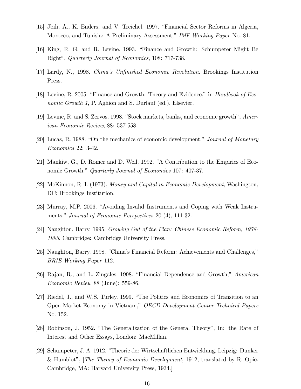- [15] Jbili, A., K. Enders, and V. Treichel. 1997. "Financial Sector Reforms in Algeria, Morocco, and Tunisia: A Preliminary Assessment," IMF Working Paper No. 81.
- [16] King, R. G. and R. Levine. 1993. "Finance and Growth: Schumpeter Might Be Right", Quarterly Journal of Economics, 108: 717-738.
- [17] Lardy, N., 1998. China's Unfinished Economic Revolution. Brookings Institution Press.
- [18] Levine, R. 2005. "Finance and Growth: Theory and Evidence," in *Handbook of Economic Growth 1*, P. Aghion and S. Durlauf (ed.). Elsevier.
- [19] Levine, R. and S. Zervos. 1998. "Stock markets, banks, and economic growth", American Economic Review, 88: 537-558.
- [20] Lucas, R. 1988. "On the mechanics of economic development." Journal of Monetary Economics 22: 3-42.
- [21] Mankiw, G., D. Romer and D. Weil. 1992. "A Contribution to the Empirics of Economic Growth." Quarterly Journal of Economics 107: 407-37.
- [22] McKinnon, R. I. (1973), Money and Capital in Economic Development, Washington, DC: Brookings Institution.
- [23] Murray, M.P. 2006. "Avoiding Invalid Instruments and Coping with Weak Instruments." Journal of Economic Perspectives 20 (4), 111-32.
- [24] Naughton, Barry. 1995. Growing Out of the Plan: Chinese Economic Reform, 1978-1993. Cambridge: Cambridge University Press.
- [25] Naughton, Barry. 1998. "China's Financial Reform: Achievements and Challenges," BRIE Working Paper 112.
- [26] Rajan, R., and L. Zingales. 1998. "Financial Dependence and Growth," American Economic Review 88 (June): 559-86.
- [27] Riedel, J., and W.S. Turley. 1999. "The Politics and Economics of Transition to an Open Market Economy in Vietnam," OECD Development Center Technical Papers No. 152.
- [28] Robinson, J. 1952. "The Generalization of the General Theory", In: the Rate of Interest and Other Essays, London: MacMillan.
- [29] Schumpeter, J. A. 1912. "Theorie der Wirtschaftlichen Entwicklung. Leipzig: Dunker & Humblot", The Theory of Economic Development, 1912, translated by R. Opie. Cambridge, MA: Harvard University Press, 1934.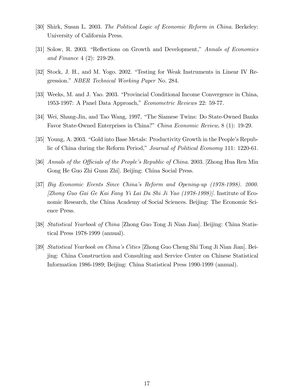- [30] Shirk, Susan L. 2003. The Political Logic of Economic Reform in China. Berkeley: University of California Press.
- [31] Solow, R. 2003. "Reflections on Growth and Development," Annals of Economics and Finance 4 (2): 219-29.
- [32] Stock, J. H., and M. Yogo. 2002. "Testing for Weak Instruments in Linear IV Regression." *NBER Technical Working Paper No.* 284.
- [33] Weeks, M. and J. Yao. 2003. "Provincial Conditional Income Convergence in China, 1953-1997: A Panel Data Approach," Econometric Reviews 22: 59-77.
- [34] Wei, Shang-Jin, and Tao Wang, 1997, "The Siamese Twins: Do State-Owned Banks Favor State-Owned Enterprises in China?" China Economic Review, 8 (1): 19-29.
- [35] Young, A. 2003. "Gold into Base Metals: Productivity Growth in the People's Republic of China during the Reform Period," Journal of Political Economy 111: 1220-61.
- [36] Annals of the Officials of the People's Republic of China. 2003. [Zhong Hua Ren Min] Gong He Guo Zhi Guan Zhi]. Beijing: China Social Press.
- [37] Big Economic Events Since Chinaís Reform and Opening-up (1978-1998). 2000. [Zhong Guo Gai Ge Kai Fang Yi Lai Da Shi Ji Yao (1978-1998)]. Institute of Economic Research, the China Academy of Social Sciences. Beijing: The Economic Science Press.
- [38] Statistical Yearbook of China [Zhong Guo Tong Ji Nian Jian]. Beijing: China Statistical Press 1978-1999 (annual).
- [39] Statistical Yearbook on Chinaís Cities [Zhong Guo Cheng Shi Tong Ji Nian Jian]. Beijing: China Construction and Consulting and Service Center on Chinese Statistical Information 1986-1989; Beijing: China Statistical Press 1990-1999 (annual).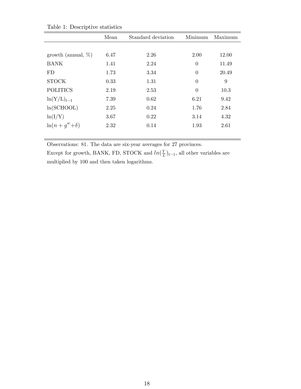| л.                     |      |                    |                |         |
|------------------------|------|--------------------|----------------|---------|
|                        | Mean | Standard deviation | Minimum        | Maximum |
|                        |      |                    |                |         |
| growth (annual, $\%$ ) | 6.47 | 2.26               | 2.00           | 12.00   |
| <b>BANK</b>            | 1.41 | 2.24               | $\overline{0}$ | 11.49   |
| FD                     | 1.73 | 3.34               | $\overline{0}$ | 20.49   |
| <b>STOCK</b>           | 0.33 | 1.31               | $\overline{0}$ | 9       |
| <b>POLITICS</b>        | 2.19 | 2.53               | $\overline{0}$ | 10.3    |
| $\ln(Y/L)_{t-1}$       | 7.39 | 0.62               | 6.21           | 9.42    |
| ln(SCHOOL)             | 2.25 | 0.24               | 1.76           | 2.84    |
| ln(I/Y)                | 3.67 | 0.22               | 3.14           | 4.32    |
| $\ln(n+g^w+\delta)$    | 2.32 | 0.14               | 1.93           | 2.61    |
|                        |      |                    |                |         |

Table 1: Descriptive statistics

Observations: 81. The data are six-year averages for 27 provinces. Except for growth, BANK, FD, STOCK and  $ln(\frac{Y}{I})$  $\frac{Y}{L}\big)_{t-1}$ , all other variables are multiplied by 100 and then taken logarithms.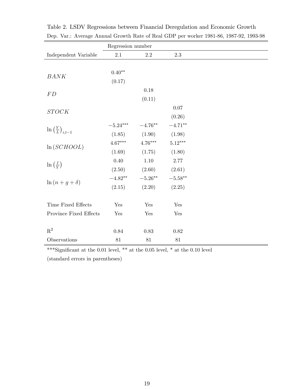|                                                                | Regression number                                                                                                                                                                          |            |                    |
|----------------------------------------------------------------|--------------------------------------------------------------------------------------------------------------------------------------------------------------------------------------------|------------|--------------------|
| Independent Variable                                           | 2.1                                                                                                                                                                                        | 2.2        | 2.3                |
|                                                                |                                                                                                                                                                                            |            |                    |
| BANK                                                           | $0.40**$                                                                                                                                                                                   |            |                    |
|                                                                | (0.17)                                                                                                                                                                                     |            |                    |
| ${\cal FD}$                                                    |                                                                                                                                                                                            | 0.18       |                    |
|                                                                |                                                                                                                                                                                            | (0.11)     |                    |
|                                                                |                                                                                                                                                                                            |            | 0.07               |
| $STOCK$<br>$\ln\left(\frac{Y}{L}\right)_{i,t-1}$<br>ln(SCHOOL) |                                                                                                                                                                                            |            | (0.26)             |
|                                                                | $-5.24***$                                                                                                                                                                                 | $-4.76***$ | $-4.71***$         |
|                                                                | (1.90)<br>(1.85)<br>$4.76***$<br>$4.67^{\ast\ast\ast}$<br>(1.69)<br>(1.75)<br>$0.40\,$<br>$1.10\,$<br>(2.50)<br>(2.60)<br>$-5.26***$<br>$-4.82**$<br>$\ln(n+g+\delta)$<br>(2.15)<br>(2.20) | (1.98)     |                    |
|                                                                |                                                                                                                                                                                            |            | $5.12***$          |
|                                                                | Yes<br>Yes<br>Yes<br>Yes<br>0.84<br>0.83<br>81<br>$81\,$<br>$81\,$                                                                                                                         | (1.80)     |                    |
|                                                                |                                                                                                                                                                                            |            | 2.77               |
| $\ln\left(\frac{I}{Y}\right)$                                  |                                                                                                                                                                                            | (2.61)     |                    |
|                                                                |                                                                                                                                                                                            |            | $-5.58^{\ast\ast}$ |
|                                                                |                                                                                                                                                                                            |            | (2.25)             |
|                                                                |                                                                                                                                                                                            |            |                    |
| Time Fixed Effects                                             |                                                                                                                                                                                            |            | Yes                |
| Province Fixed Effects                                         |                                                                                                                                                                                            |            | Yes                |
|                                                                |                                                                                                                                                                                            |            |                    |
| $\mathbf{R}^2$                                                 |                                                                                                                                                                                            |            | 0.82               |
| Observations                                                   |                                                                                                                                                                                            |            |                    |

Table 2. LSDV Regressions between Financial Deregulation and Economic Growth Dep. Var.: Average Annual Growth Rate of Real GDP per worker 1981-86, 1987-92, 1993-98

 $^{***}\mathrm{Significant}$  at the 0.01 level,  $^{**}$  at the 0.05 level,  $^{*}$  at the 0.10 level

(standard errors in parentheses)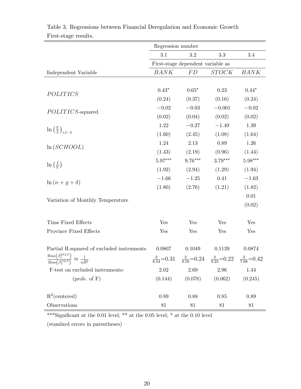|                                                                                                           | Regression number                 |           |                                                                                             |             |  |  |
|-----------------------------------------------------------------------------------------------------------|-----------------------------------|-----------|---------------------------------------------------------------------------------------------|-------------|--|--|
|                                                                                                           | 3.1                               | $\!3.2\!$ | $3.3\,$                                                                                     | $3.4\,$     |  |  |
|                                                                                                           | First-stage dependent variable as |           |                                                                                             |             |  |  |
| Independent Variable                                                                                      | <b>BANK</b>                       | FD        | STOCK                                                                                       | <b>BANK</b> |  |  |
|                                                                                                           |                                   |           |                                                                                             |             |  |  |
| POLITICS                                                                                                  | $0.43*$                           | $0.65*$   | $0.23\,$                                                                                    | $0.44*$     |  |  |
|                                                                                                           | (0.24)                            | (0.37)    | (0.16)                                                                                      | (0.24)      |  |  |
| POLITICS-squared                                                                                          | $-0.02$                           | $-0.03$   | $-0.001$                                                                                    | $-0.02\,$   |  |  |
|                                                                                                           | (0.02)                            | (0.04)    | (0.02)                                                                                      | (0.02)      |  |  |
| $\ln\left(\frac{Y}{L}\right)_{i,t-1}$                                                                     | 1.22                              | $-0.27$   | $-1.49$                                                                                     | $1.39\,$    |  |  |
|                                                                                                           | (1.60)                            | (2.45)    | (1.08)                                                                                      | (1.64)      |  |  |
| $\ln(SCHOOL)$                                                                                             | 1.24                              | 2.13      | $0.89\,$                                                                                    | 1.26        |  |  |
|                                                                                                           | (1.43)                            | (2.19)    | (0.96)                                                                                      | (1.44)      |  |  |
| $\ln\left(\frac{I}{Y}\right)$                                                                             | $5.97^{\ast\ast\ast}$             | $9.76***$ | $3.79***$                                                                                   | $5.98***$   |  |  |
|                                                                                                           | (1.92)                            | (2.94)    | (1.29)                                                                                      | (1.94)      |  |  |
| $\ln(n+g+\delta)$                                                                                         | $-1.66$                           | $-1.25$   | 0.41                                                                                        | $-1.63$     |  |  |
|                                                                                                           | (1.80)                            | (2.76)    | (1.21)                                                                                      | (1.82)      |  |  |
| Variation of Monthly Temperature                                                                          |                                   |           |                                                                                             | $0.01\,$    |  |  |
|                                                                                                           |                                   |           |                                                                                             | (0.02)      |  |  |
| Time Fixed Effects                                                                                        | Yes                               | Yes       | Yes                                                                                         | Yes         |  |  |
| Province Fixed Effects                                                                                    | Yes                               | Yes       | Yes                                                                                         | Yes         |  |  |
|                                                                                                           |                                   |           |                                                                                             |             |  |  |
| Partial R-squared of excluded instruments                                                                 | 0.0807                            | 0.1049    | 0.1139                                                                                      | 0.0874      |  |  |
| $Bias(\beta_1^{2SLS})$<br>$\approx \frac{l}{n\widetilde{R}^2}$<br>$\overline{\text{Bias}(\beta_1^{OLS})}$ |                                   |           | $\frac{2}{6.54}$ =0.31 $\frac{2}{8.50}$ =0.24 $\frac{2}{9.23}$ =0.22 $\frac{3}{7.08}$ =0.42 |             |  |  |
| F-test on excluded instruments:                                                                           | $2.02\,$                          | 2.69      | 2.96                                                                                        | 1.44        |  |  |
| $(\text{prob. of } F)$                                                                                    | (0.144)                           | (0.078)   | (0.062)                                                                                     | (0.245)     |  |  |
|                                                                                                           |                                   |           |                                                                                             |             |  |  |
| $R^2$ (centered)                                                                                          | $0.89\,$                          | 0.88      | $0.85\,$                                                                                    | 0.89        |  |  |
| Observations                                                                                              | $81\,$                            | $81\,$    | 81                                                                                          | 81          |  |  |

Table 3. Regressions between Financial Deregulation and Economic Growth First-stage results.

\*\*\*Significant at the 0.01 level, \*\* at the 0.05 level, \* at the 0.10 level

(standard errors in parentheses)